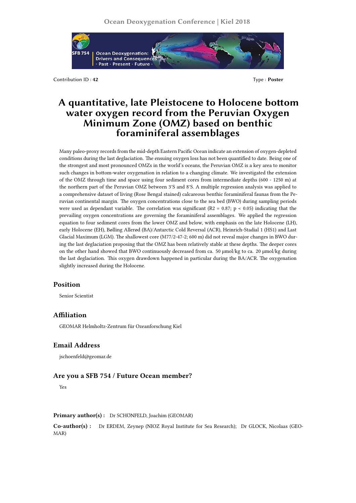

Contribution ID : 42 Type : **Poster** 

# **A quantitative, late Pleistocene to Holocene bottom water oxygen record from the Peruvian Oxygen Minimum Zone (OMZ) based on benthic foraminiferal assemblages**

Many paleo-proxy records from the mid-depth Eastern Pacific Ocean indicate an extension of oxygen-depleted conditions during the last deglaciation. The ensuing oxygen loss has not been quantified to date. Being one of the strongest and most pronounced OMZs in the world's oceans, the Peruvian OMZ is a key area to monitor such changes in bottom-water oxygenation in relation to a changing climate. We investigated the extension of the OMZ through time and space using four sediment cores from intermediate depths (600 - 1250 m) at the northern part of the Peruvian OMZ between 3°S and 8°S. A multiple regression analysis was applied to a comprehensive dataset of living (Rose Bengal stained) calcareous benthic foraminiferal faunas from the Peruvian continental margin. The oxygen concentrations close to the sea bed (BWO) during sampling periods were used as dependant variable. The correlation was significant (R2 = 0.87; p < 0.05) indicating that the prevailing oxygen concentrations are governing the foraminiferal assemblages. We applied the regression equation to four sediment cores from the lower OMZ and below, with emphasis on the late Holocene (LH), early Holocene (EH), Bølling Allerød (BA)/Antarctic Cold Reversal (ACR), Heinrich-Stadial 1 (HS1) and Last Glacial Maximum (LGM). The shallowest core (M77/2-47-2; 600 m) did not reveal major changes in BWO during the last deglaciation proposing that the OMZ has been relatively stable at these depths. The deeper cores on the other hand showed that BWO continuously decreased from ca. 50 μmol/kg to ca. 20 μmol/kg during the last deglaciation. This oxygen drawdown happened in particular during the BA/ACR. The oxygenation slightly increased during the Holocene.

### **Position**

Senior Scientist

### **Affiliation**

GEOMAR Helmholtz-Zentrum für Ozeanforschung Kiel

## **Email Address**

jschoenfeld@geomar.de

# **Are you a SFB 754 / Future Ocean member?**

Yes

#### **Primary author(s) :** Dr SCHÖNFELD, Joachim (GEOMAR)

**Co-author(s) :** Dr ERDEM, Zeynep (NIOZ Royal Institute for Sea Research); Dr GLOCK, Nicolaas (GEO-MAR)